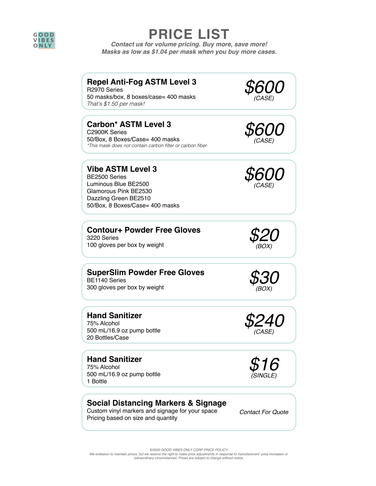

# **PRICE LIST**

*Contact us for volume pricing. Buy more, save more! Masks as low as \$1.04 per mask when you buy more cases.*

#### **Repel Anti-Fog ASTM Level 3**

R2970 Series 50 masks/box, 8 boxes/case= 400 masks That's \$1.50 per mask!

#### **Carbon\* ASTM Level 3**

C2900K Series 50/Box, 8 Boxes/Case= 400 masks \*This mask does not contain carbon filter or carbon fiber.

**Vibe ASTM Level 3**  BE2500 Series Luminous Blue BE2500 Glamorous Pink BE2530 Dazzling Green BE2510 50/Box, 8 Boxes/Case= 400 masks

## **Contour+ Powder Free Gloves**<br>
3220 Series<br>
100 gloves per box by weight *\$20* 3220 Series





*\$600 (CASE)*



*(BOX)*

*\$240 (CASE)*

**SuperSlim Powder Free Gloves**<br>
BE1140 Series<br>300 gloves per box by weight *\$30* BE1140 Series<br>300 gloves per box by weight

**Hand Sanitizer** 75% Alcohol 500 mL/16.9 oz pump bottle

20 Bottles/Case

**Hand Sanitizer** 75% Alcohol 500 mL/16.9 oz pump bottle 1 Bottle

#### **Social Distancing Markers & Signage**

Custom vinyl markers and signage for your space Pricing based on size and quantity

*Contact For Quote*



*6/2020 GOOD VIBES ONLY CORP PRICE POLICY:* We endeavor to maintain prices, but we reserve the right to make price adjustments in response to manufacturers' price increases or *extraordinary circumstances. Prices are subject to change without notice.*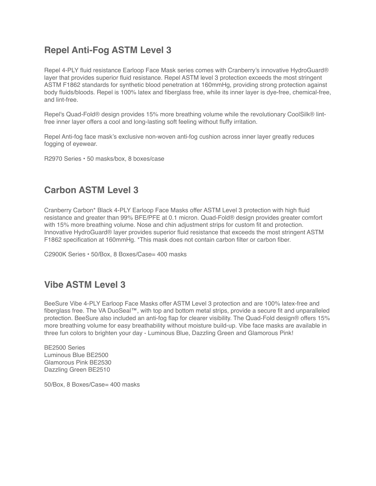## **Repel Anti-Fog ASTM Level 3**

Repel 4-PLY fluid resistance Earloop Face Mask series comes with Cranberry's innovative HydroGuard® layer that provides superior fluid resistance. Repel ASTM level 3 protection exceeds the most stringent ASTM F1862 standards for synthetic blood penetration at 160mmHg, providing strong protection against body fluids/bloods. Repel is 100% latex and fiberglass free, while its inner layer is dye-free, chemical-free, and lint-free.

Repel's Quad-Fold® design provides 15% more breathing volume while the revolutionary CoolSilk® lintfree inner layer offers a cool and long-lasting soft feeling without fluffy irritation.

Repel Anti-fog face mask's exclusive non-woven anti-fog cushion across inner layer greatly reduces fogging of eyewear.

R2970 Series • 50 masks/box, 8 boxes/case

## **Carbon ASTM Level 3**

Cranberry Carbon\* Black 4-PLY Earloop Face Masks offer ASTM Level 3 protection with high fluid resistance and greater than 99% BFE/PFE at 0.1 micron. Quad-Fold® design provides greater comfort with 15% more breathing volume. Nose and chin adjustment strips for custom fit and protection. Innovative HydroGuard® layer provides superior fluid resistance that exceeds the most stringent ASTM F1862 specification at 160mmHg. \*This mask does not contain carbon filter or carbon fiber.

C2900K Series • 50/Box, 8 Boxes/Case= 400 masks

#### **Vibe ASTM Level 3**

BeeSure Vibe 4-PLY Earloop Face Masks offer [ASTM Level 3](http://www.ecobeeworld.com/industry-information/) protection and are 100% latex-free and fiberglass free. The VA DuoSeal™, with top and bottom metal strips, provide a secure fit and unparalleled protection. BeeSure also included an anti-fog flap for clearer visibility. The Quad-Fold design® offers 15% more breathing volume for easy breathability without moisture build-up. Vibe face masks are available in three fun colors to brighten your day - Luminous Blue, Dazzling Green and Glamorous Pink!

BE2500 Series Luminous Blue BE2500 Glamorous Pink BE2530 Dazzling Green BE2510

50/Box, 8 Boxes/Case= 400 masks